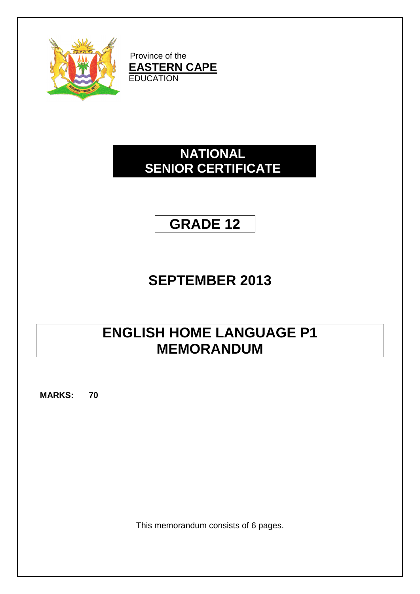

Province of the **EASTERN CAPE EDUCATION** 

# **NATIONAL SENIOR CERTIFICATE**

# **GRADE 12**

# **SEPTEMBER 2013**

# **ENGLISH HOME LANGUAGE P1 MEMORANDUM**

**MARKS: 70**

This memorandum consists of 6 pages.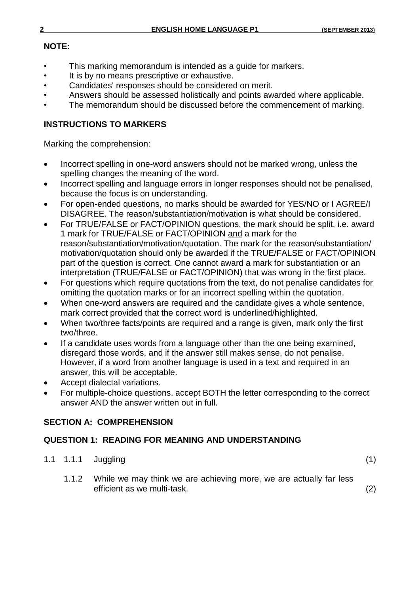## **NOTE:**

- This marking memorandum is intended as a quide for markers.
- It is by no means prescriptive or exhaustive.
- Candidates' responses should be considered on merit.
- Answers should be assessed holistically and points awarded where applicable.
- The memorandum should be discussed before the commencement of marking.

## **INSTRUCTIONS TO MARKERS**

Marking the comprehension:

- Incorrect spelling in one-word answers should not be marked wrong, unless the spelling changes the meaning of the word.
- Incorrect spelling and language errors in longer responses should not be penalised, because the focus is on understanding.
- For open-ended questions, no marks should be awarded for YES/NO or I AGREE/I DISAGREE. The reason/substantiation/motivation is what should be considered.
- For TRUE/FALSE or FACT/OPINION questions, the mark should be split, i.e. award 1 mark for TRUE/FALSE or FACT/OPINION and a mark for the reason/substantiation/motivation/quotation. The mark for the reason/substantiation/ motivation/quotation should only be awarded if the TRUE/FALSE or FACT/OPINION part of the question is correct. One cannot award a mark for substantiation or an interpretation (TRUE/FALSE or FACT/OPINION) that was wrong in the first place.
- For questions which require quotations from the text, do not penalise candidates for omitting the quotation marks or for an incorrect spelling within the quotation.
- When one-word answers are required and the candidate gives a whole sentence, mark correct provided that the correct word is underlined/highlighted.
- When two/three facts/points are required and a range is given, mark only the first two/three.
- If a candidate uses words from a language other than the one being examined, disregard those words, and if the answer still makes sense, do not penalise. However, if a word from another language is used in a text and required in an answer, this will be acceptable.
- Accept dialectal variations.
- For multiple-choice questions, accept BOTH the letter corresponding to the correct answer AND the answer written out in full.

# **SECTION A: COMPREHENSION**

## **QUESTION 1: READING FOR MEANING AND UNDERSTANDING**

- 1.1 1.1.1 Juggling (1)
	- 1.1.2 While we may think we are achieving more, we are actually far less efficient as we multi-task. (2)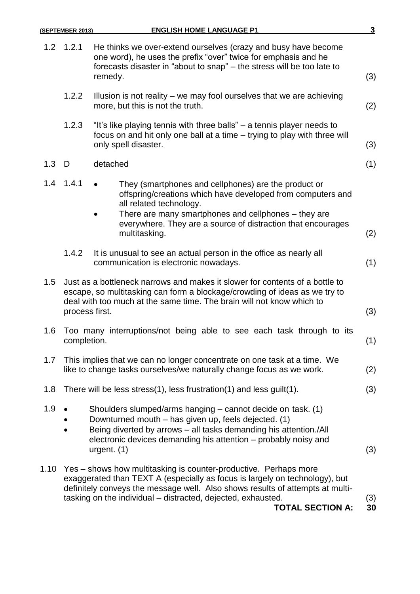|      | (SEPTEMBER 2013)                                                                                                                                                                                                                                      | <b>ENGLISH HOME LANGUAGE P1</b>                                                                                                                                                                                                                                                                                             | $\overline{\mathbf{3}}$ |  |
|------|-------------------------------------------------------------------------------------------------------------------------------------------------------------------------------------------------------------------------------------------------------|-----------------------------------------------------------------------------------------------------------------------------------------------------------------------------------------------------------------------------------------------------------------------------------------------------------------------------|-------------------------|--|
| 1.2  | 1.2.1                                                                                                                                                                                                                                                 | He thinks we over-extend ourselves (crazy and busy have become<br>one word), he uses the prefix "over" twice for emphasis and he<br>forecasts disaster in "about to snap" – the stress will be too late to<br>remedy.                                                                                                       | (3)                     |  |
|      | 1.2.2                                                                                                                                                                                                                                                 | Illusion is not reality – we may fool ourselves that we are achieving<br>more, but this is not the truth.                                                                                                                                                                                                                   | (2)                     |  |
|      | 1.2.3                                                                                                                                                                                                                                                 | "It's like playing tennis with three balls" – a tennis player needs to<br>focus on and hit only one ball at a time – trying to play with three will<br>only spell disaster.                                                                                                                                                 | (3)                     |  |
| 1.3  | D                                                                                                                                                                                                                                                     | detached                                                                                                                                                                                                                                                                                                                    | (1)                     |  |
| 1.4  | 1.4.1                                                                                                                                                                                                                                                 | They (smartphones and cellphones) are the product or<br>offspring/creations which have developed from computers and<br>all related technology.<br>There are many smartphones and cellphones - they are<br>everywhere. They are a source of distraction that encourages                                                      |                         |  |
|      |                                                                                                                                                                                                                                                       | multitasking.                                                                                                                                                                                                                                                                                                               | (2)                     |  |
|      | 1.4.2                                                                                                                                                                                                                                                 | It is unusual to see an actual person in the office as nearly all<br>communication is electronic nowadays.                                                                                                                                                                                                                  | (1)                     |  |
| 1.5  | Just as a bottleneck narrows and makes it slower for contents of a bottle to<br>escape, so multitasking can form a blockage/crowding of ideas as we try to<br>deal with too much at the same time. The brain will not know which to<br>process first. |                                                                                                                                                                                                                                                                                                                             |                         |  |
| 1.6  | Too many interruptions/not being able to see each task through to its<br>completion.                                                                                                                                                                  |                                                                                                                                                                                                                                                                                                                             |                         |  |
| 1.7  | This implies that we can no longer concentrate on one task at a time. We<br>like to change tasks ourselves/we naturally change focus as we work.                                                                                                      |                                                                                                                                                                                                                                                                                                                             |                         |  |
| 1.8  | There will be less stress(1), less frustration(1) and less guilt(1).<br>(3)                                                                                                                                                                           |                                                                                                                                                                                                                                                                                                                             |                         |  |
| 1.9  |                                                                                                                                                                                                                                                       | Shoulders slumped/arms hanging - cannot decide on task. (1)<br>Downturned mouth - has given up, feels dejected. (1)<br>Being diverted by arrows - all tasks demanding his attention./All<br>electronic devices demanding his attention - probably noisy and<br>urgent. $(1)$                                                | (3)                     |  |
| 1.10 |                                                                                                                                                                                                                                                       | Yes – shows how multitasking is counter-productive. Perhaps more<br>exaggerated than TEXT A (especially as focus is largely on technology), but<br>definitely conveys the message well. Also shows results of attempts at multi-<br>tasking on the individual – distracted, dejected, exhausted.<br><b>TOTAL SECTION A:</b> | (3)<br>30               |  |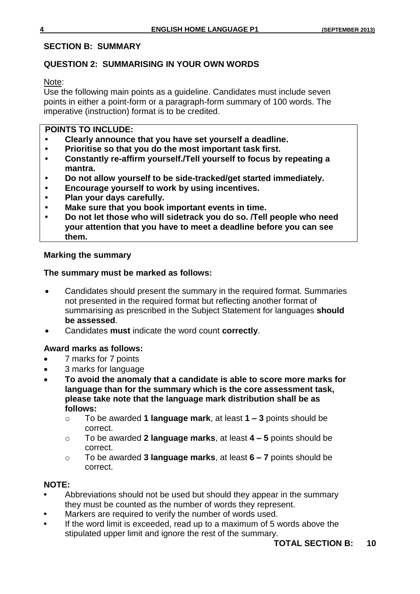### **SECTION B: SUMMARY**

## **QUESTION 2: SUMMARISING IN YOUR OWN WORDS**

Note:

Use the following main points as a guideline. Candidates must include seven points in either a point-form or a paragraph-form summary of 100 words. The imperative (instruction) format is to be credited.

### **POINTS TO INCLUDE:**

- **• Clearly announce that you have set yourself a deadline.**
- **• Prioritise so that you do the most important task first.**
- **• Constantly re-affirm yourself./Tell yourself to focus by repeating a mantra.**
- **• Do not allow yourself to be side-tracked/get started immediately.**
- **• Encourage yourself to work by using incentives.**
- **• Plan your days carefully.**
- **• Make sure that you book important events in time.**
- **• Do not let those who will sidetrack you do so. /Tell people who need your attention that you have to meet a deadline before you can see them.**

### **Marking the summary**

### **The summary must be marked as follows:**

- Candidates should present the summary in the required format. Summaries not presented in the required format but reflecting another format of summarising as prescribed in the Subject Statement for languages **should be assessed**.
- Candidates **must** indicate the word count **correctly**.

### **Award marks as follows:**

- 7 marks for 7 points
- 3 marks for language
- **To avoid the anomaly that a candidate is able to score more marks for language than for the summary which is the core assessment task, please take note that the language mark distribution shall be as follows:**
	- o To be awarded **1 language mark**, at least **1 – 3** points should be correct.
	- o To be awarded **2 language marks**, at least **4 – 5** points should be correct.
	- o To be awarded **3 language marks**, at least **6 – 7** points should be correct.

#### **NOTE:**

- **•** Abbreviations should not be used but should they appear in the summary they must be counted as the number of words they represent.
- **•** Markers are required to verify the number of words used.
- **•** If the word limit is exceeded, read up to a maximum of 5 words above the stipulated upper limit and ignore the rest of the summary.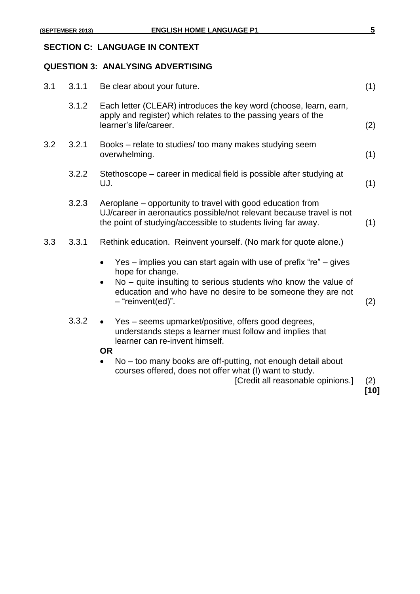# **SECTION C: LANGUAGE IN CONTEXT**

### **QUESTION 3: ANALYSING ADVERTISING**

| 3.1 | 3.1.1 | Be clear about your future.                                                                                                                                                                                                                     | (1)         |
|-----|-------|-------------------------------------------------------------------------------------------------------------------------------------------------------------------------------------------------------------------------------------------------|-------------|
|     | 3.1.2 | Each letter (CLEAR) introduces the key word (choose, learn, earn,<br>apply and register) which relates to the passing years of the<br>learner's life/career.                                                                                    | (2)         |
| 3.2 | 3.2.1 | Books – relate to studies/ too many makes studying seem<br>overwhelming.                                                                                                                                                                        | (1)         |
|     | 3.2.2 | Stethoscope – career in medical field is possible after studying at<br>UJ.                                                                                                                                                                      | (1)         |
|     | 3.2.3 | Aeroplane – opportunity to travel with good education from<br>UJ/career in aeronautics possible/not relevant because travel is not<br>the point of studying/accessible to students living far away.                                             | (1)         |
| 3.3 | 3.3.1 | Rethink education. Reinvent yourself. (No mark for quote alone.)                                                                                                                                                                                |             |
|     |       | Yes – implies you can start again with use of prefix " $re$ " – gives<br>hope for change.<br>No – quite insulting to serious students who know the value of<br>education and who have no desire to be someone they are not<br>- "reinvent(ed)". | (2)         |
|     | 3.3.2 | Yes – seems upmarket/positive, offers good degrees,<br>understands steps a learner must follow and implies that<br>learner can re-invent himself.<br><b>OR</b>                                                                                  |             |
|     |       | No - too many books are off-putting, not enough detail about<br>courses offered, does not offer what (I) want to study.<br>[Credit all reasonable opinions.]                                                                                    | (2)<br>[10] |